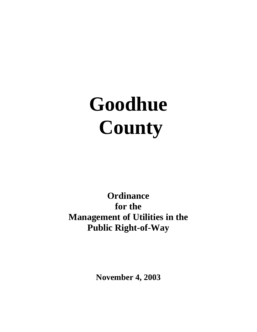# **Goodhue County**

# **Ordinance for the Management of Utilities in the Public Right-of-Way**

**November 4, 2003**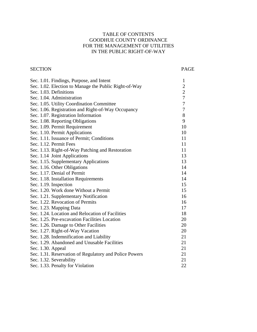#### TABLE OF CONTENTS GOODHUE COUNTY ORDINANCE FOR THE MANAGEMENT OF UTILITIES IN THE PUBLIC RIGHT-OF-WAY

#### SECTION PAGE

| Sec. 1.01. Findings, Purpose, and Intent               | $\mathbf{1}$   |
|--------------------------------------------------------|----------------|
| Sec. 1.02. Election to Manage the Public Right-of-Way  | $\overline{2}$ |
| Sec. 1.03. Definitions                                 | $\overline{c}$ |
| Sec. 1.04. Administration                              | $\overline{7}$ |
| Sec. 1.05. Utility Coordination Committee              | $\overline{7}$ |
| Sec. 1.06. Registration and Right-of-Way Occupancy     | $\overline{7}$ |
| Sec. 1.07. Registration Information                    | 8              |
| Sec. 1.08. Reporting Obligations                       | 9              |
| Sec. 1.09. Permit Requirement                          | 10             |
| Sec. 1.10. Permit Applications                         | 10             |
| Sec. 1.11. Issuance of Permit; Conditions              | 11             |
| Sec. 1.12. Permit Fees                                 | 11             |
| Sec. 1.13. Right-of-Way Patching and Restoration       | 11             |
| Sec. 1.14 Joint Applications                           | 13             |
| Sec. 1.15. Supplementary Applications                  | 13             |
| Sec. 1.16. Other Obligations                           | 14             |
| Sec. 1.17. Denial of Permit                            | 14             |
| Sec. 1.18. Installation Requirements                   | 14             |
| Sec. 1.19. Inspection                                  | 15             |
| Sec. 1.20. Work done Without a Permit                  | 15             |
| Sec. 1.21. Supplementary Notification                  | 16             |
| Sec. 1.22. Revocation of Permits                       | 16             |
| Sec. 1.23. Mapping Data                                | 17             |
| Sec. 1.24. Location and Relocation of Facilities       | 18             |
| Sec. 1.25. Pre-excavation Facilities Location          | 20             |
| Sec. 1.26. Damage to Other Facilities                  | 20             |
| Sec. 1.27. Right-of-Way Vacation                       | 20             |
| Sec. 1.28. Indemnification and Liability               | 21             |
| Sec. 1.29. Abandoned and Unusable Facilities           | 21             |
| Sec. 1.30. Appeal                                      | 21             |
| Sec. 1.31. Reservation of Regulatory and Police Powers | 21             |
| Sec. 1.32. Severability                                | 21             |
| Sec. 1.33. Penalty for Violation                       | 22             |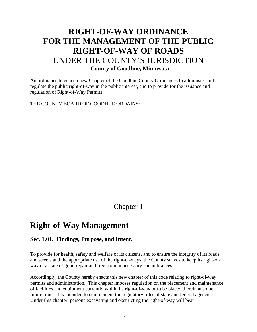# **RIGHT-OF-WAY ORDINANCE FOR THE MANAGEMENT OF THE PUBLIC RIGHT-OF-WAY OF ROADS**  UNDER THE COUNTY'S JURISDICTION  **County of Goodhue, Minnesota**

An ordinance to enact a new Chapter of the Goodhue County Ordinances to administer and regulate the public right-of-way in the public interest, and to provide for the issuance and regulation of Right-of-Way Permits.

THE COUNTY BOARD OF GOODHUE ORDAINS:

## Chapter 1

# **Right-of-Way Management**

#### **Sec. 1.01. Findings, Purpose, and Intent.**

To provide for health, safety and welfare of its citizens, and to ensure the integrity of its roads and streets and the appropriate use of the right-of-ways, the County strives to keep its right-ofway in a state of good repair and free from unnecessary encumbrances.

Accordingly, the County hereby enacts this new chapter of this code relating to right-of-way permits and administration. This chapter imposes regulation on the placement and maintenance of facilities and equipment currently within its right-of-way or to be placed therein at some future time. It is intended to complement the regulatory roles of state and federal agencies. Under this chapter, persons excavating and obstructing the right-of-way will bear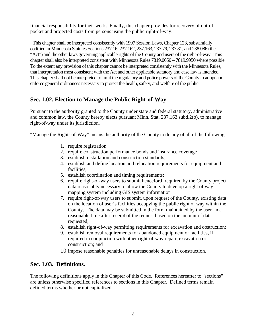financial responsibility for their work. Finally, this chapter provides for recovery of out-ofpocket and projected costs from persons using the public right-of-way.

This chapter shall be interpreted consistently with 1997 Session Laws, Chapter 123, substantially codified in Minnesota Statutes Sections 237.16, 237.162, 237.163, 237.79, 237.81, and 238.086 (the "Act") and the other laws governing applicable rights of the County and users of the right-of-way. This chapter shall also be interpreted consistent with Minnesota Rules 7819.0050 – 7819.9950 where possible. To the extent any provision of this chapter cannot be interpreted consistently with the Minnesota Rules, that interpretation most consistent with the Act and other applicable statutory and case law is intended. This chapter shall not be interpreted to limit the regulatory and police powers of the County to adopt and enforce general ordinances necessary to protect the health, safety, and welfare of the public.

#### **Sec. 1.02. Election to Manage the Public Right-of-Way**

Pursuant to the authority granted to the County under state and federal statutory, administrative and common law, the County hereby elects pursuant Minn. Stat. 237.163 subd.2(b), to manage right-of-way under its jurisdiction.

"Manage the Right- of-Way" means the authority of the County to do any of all of the following:

- 1. require registration
- 2. require construction performance bonds and insurance coverage
- 3. establish installation and construction standards;
- 4. establish and define location and relocation requirements for equipment and facilities;
- 5. establish coordination and timing requirements;
- 6. require right-of-way users to submit henceforth required by the County project data reasonably necessary to allow the County to develop a right of way mapping system including GIS system information
- 7. require right-of-way users to submit, upon request of the County, existing data on the location of user's facilities occupying the public right of way within the County. The data may be submitted in the form maintained by the user in a reasonable time after receipt of the request based on the amount of data requested;
- 8. establish right-of-way permitting requirements for excavation and obstruction;
- 9. establish removal requirements for abandoned equipment or facilities, if required in conjunction with other right-of-way repair, excavation or construction; and

10.impose reasonable penalties for unreasonable delays in construction.

#### **Sec. 1.03. Definitions.**

The following definitions apply in this Chapter of this Code. References hereafter to "sections" are unless otherwise specified references to sections in this Chapter. Defined terms remain defined terms whether or not capitalized.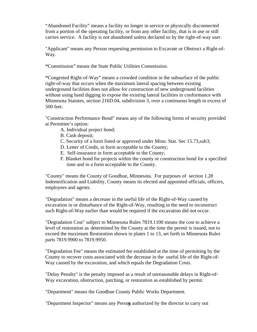"Abandoned Facility" means a facility no longer in service or physically disconnected from a portion of the operating facility, or from any other facility, that is in use or still carries service. A facility is not abandoned unless declared so by the right-of-way user.

"Applicant" means any Person requesting permission to Excavate or Obstruct a Right-of-Way.

**"**Commission" means the State Public Utilities Commission.

**"**Congested Right-of-Way" means a crowded condition in the subsurface of the public right-of-way that occurs when the maximum lateral spacing between existing underground facilities does not allow for construction of new underground facilities without using hand digging to expose the existing lateral facilities in conformance with Minnesota Statutes, section 216D.04, subdivision 3, over a continuous length in excess of 500 feet.

"Construction Performance Bond" means any of the following forms of security provided at Permittee's option:

- A. Individual project bond;
- B. Cash deposit;
- C. Security of a form listed or approved under Minn. Stat. Sec 15.73,sub3;
- D. Letter of Credit, in form acceptable to the County;
- E. Self-insurance in form acceptable to the County;
- F. Blanket bond for projects within the county or construction bond for a specified time and in a form acceptable to the County.

"County" means the County of Goodhue, Minnesota. For purposes of section 1.28 Indemnification and Liability, County means its elected and appointed officials, officers, employees and agents.

"Degradation" means a decrease in the useful life of the Right-of-Way caused by excavation in or disturbance of the Right-of-Way, resulting in the need to reconstruct such Right-of-Way earlier than would be required if the excavation did not occur.

"Degradation Cost" subject to Minnesota Rules 7819.1100 means the cost to achieve a level of restoration as determined by the County at the time the permit is issued, not to exceed the maximum Restoration shown in plates 1 to 13, set forth in Minnesota Rules parts 7819.9900 to 7819.9950.

"Degradation Fee" means the estimated fee established at the time of permitting by the County to recover costs associated with the decrease in the useful life of the Right-of-Way caused by the excavation, and which equals the Degradation Costs.

"Delay Penalty" is the penalty imposed as a result of unreasonable delays in Right-of-Way excavation, obstruction, patching, or restoration as established by permit.

"Department" means the Goodhue County Public Works Department*.*

"Department Inspector" means any Person authorized by the director to carry out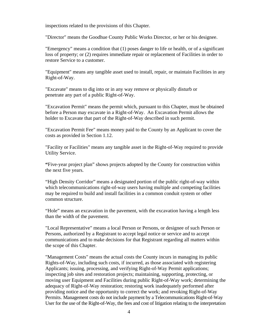inspections related to the provisions of this Chapter.

"Director" means the Goodhue County Public Works Director, or her or his designee.

"Emergency" means a condition that (1) poses danger to life or health, or of a significant loss of property; or (2) requires immediate repair or replacement of Facilities in order to restore Service to a customer.

"Equipment" means any tangible asset used to install, repair, or maintain Facilities in any Right-of-Way.

"Excavate" means to dig into or in any way remove or physically disturb or penetrate any part of a public Right-of-Way.

"Excavation Permit" means the permit which, pursuant to this Chapter, must be obtained before a Person may excavate in a Right-of-Way. An Excavation Permit allows the holder to Excavate that part of the Right-of-Way described in such permit.

"Excavation Permit Fee" means money paid to the County by an Applicant to cover the costs as provided in Section 1.12.

"Facility or Facilities" means any tangible asset in the Right-of-Way required to provide Utility Service.

**"**Five-year project plan" shows projects adopted by the County for construction within the next five years.

"High Density Corridor" means a designated portion of the public right-of-way within which telecommunications right-of-way users having multiple and competing facilities may be required to build and install facilities in a common conduit system or other common structure.

"Hole" means an excavation in the pavement, with the excavation having a length less than the width of the pavement.

"Local Representative" means a local Person or Persons, or designee of such Person or Persons, authorized by a Registrant to accept legal notice or service and to accept communications and to make decisions for that Registrant regarding all matters within the scope of this Chapter.

"Management Costs" means the actual costs the County incurs in managing its public Rights-of-Way, including such costs, if incurred, as those associated with registering Applicants; issuing, processing, and verifying Right-of-Way Permit applications; inspecting job sites and restoration projects; maintaining, supporting, protecting, or moving user Equipment and Facilities during public Right-of-Way work; determining the adequacy of Right-of-Way restoration; restoring work inadequately performed after providing notice and the opportunity to correct the work; and revoking Right-of-Way Permits. Management costs do not include payment by a Telecommunications Right-of-Way User for the use of the Right-of-Way, the fees and cost of litigation relating to the interpretation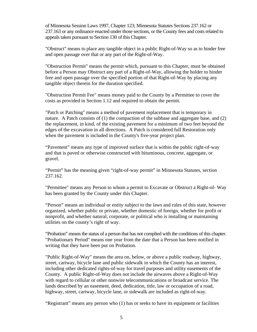of Minnesota Session Laws 1997, Chapter 123; Minnesota Statutes Sections 237.162 or 237.163 or any ordinance enacted under those sections, or the County fees and costs related to appeals taken pursuant to Section 130 of this Chapter.

"Obstruct" means to place any tangible object in a public Right-of-Way so as to hinder free and open passage over that or any part of the Right-of-Way.

"Obstruction Permit" means the permit which, pursuant to this Chapter, must be obtained before a Person may Obstruct any part of a Right-of-Way, allowing the holder to hinder free and open passage over the specified portion of that Right-of-Way by placing any tangible object therein for the duration specified.

"Obstruction Permit Fee" means money paid to the County by a Permittee to cover the costs as provided in Section 1.12 and required to obtain the permit.

"Patch or Patching" means a method of pavement replacement that is temporary in nature. A Patch consists of (1) the compaction of the subbase and aggregate base, and (2) the replacement, in kind, of the existing pavement for a minimum of two feet beyond the edges of the excavation in all directions. A Patch is considered full Restoration only when the pavement is included in the County's five-year project plan.

"Pavement" means any type of improved surface that is within the public right-of-way and that is paved or otherwise constructed with bituminous, concrete, aggregate, or gravel.

"Permit" has the meaning given "right-of-way permit" in Minnesota Statutes, section 237.162.

"Permittee" means any Person to whom a permit to Excavate or Obstruct a Right-of- Way has been granted by the County under this Chapter.

"Person" means an individual or entity subject to the laws and rules of this state, however organized, whether public or private, whether domestic of foreign, whether for profit or nonprofit, and whether natural, corporate, or political who is installing or maintaining utilities on the county's right of way.

"Probation" means the status of a person that has not complied with the conditions of this chapter. "Probationary Period" means one year from the date that a Person has been notified in writing that they have been put on Probation.

"Public Right-of-Way" means the area on, below, or above a public roadway, highway, street, cartway, bicycle lane and public sidewalk in which the County has an interest, including other dedicated rights-of-way for travel purposes and utility easements of the County. A public Right-of-Way does not include the airwaves above a Right-of-Way with regard to cellular or other nonwire telecommunications or broadcast service. The lands described by an easement, deed, dedication, title, law or occupation of a road, highway, street, cartway, bicycle lane, or sidewalk are included as right-of-way.

"Registrant" means any person who (1) has or seeks to have its equipment or facilities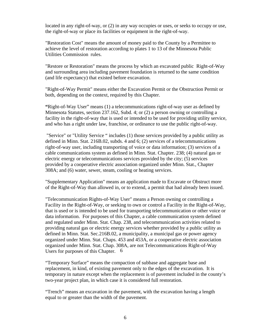located in any right-of-way, or (2) in any way occupies or uses, or seeks to occupy or use, the right-of-way or place its facilities or equipment in the right-of-way.

"Restoration Cost" means the amount of money paid to the County by a Permittee to achieve the level of restoration according to plates 1 to 13 of the Minnesota Public Utilities Commission rules.

"Restore or Restoration" means the process by which an excavated public Right-of-Way and surrounding area including pavement foundation is returned to the same condition (and life expectancy) that existed before excavation.

"Right-of-Way Permit" means either the Excavation Permit or the Obstruction Permit or both, depending on the context, required by this Chapter.

**"**Right-of-Way User" means (1) a telecommunications right-of-way user as defined by Minnesota Statutes, section 237.162, Subd. 4; or (2) a person owning or controlling a facility in the right-of-way that is used or intended to be used for providing utility service, and who has a right under law, franchise, or ordinance to use the public right-of-way.

"Service" or "Utility Service " includes (1) those services provided by a public utility as defined in Minn. Stat. 216B.02, subds. 4 and 6; (2) services of a telecommunications right-of-way user, including transporting of voice or data information; (3) services of a cable communications system as defined in Minn. Stat. Chapter. 238; (4) natural gas or electric energy or telecommunications services provided by the city; (5) services provided by a cooperative electric association organized under Minn. Stat., Chapter 308A; and (6) water, sewer, steam, cooling or heating services.

"Supplementary Application" means an application made to Excavate or Obstruct more of the Right-of-Way than allowed in, or to extend, a permit that had already been issued.

"Telecommunication Rights-of-Way User" means a Person owning or controlling a Facility in the Right-of-Way, or seeking to own or control a Facility in the Right-of-Way, that is used or is intended to be used for transporting telecommunication or other voice or data information. For purposes of this Chapter, a cable communication system defined and regulated under Minn. Stat. Chap. 238, and telecommunication activities related to providing natural gas or electric energy services whether provided by a public utility as defined in Minn. Stat. Sec.216B.02, a municipality, a municipal gas or power agency organized under Minn. Stat. Chaps. 453 and 453A, or a cooperative electric association organized under Minn. Stat. Chap. 308A, are not Telecommunications Right-of-Way Users for purposes of this Chapter.6

"Temporary Surface" means the compaction of subbase and aggregate base and replacement, in kind, of existing pavement only to the edges of the excavation. It is temporary in nature except when the replacement is of pavement included in the county's two-year project plan, in which case it is considered full restoration.

"Trench" means an excavation in the pavement, with the excavation having a length equal to or greater than the width of the pavement.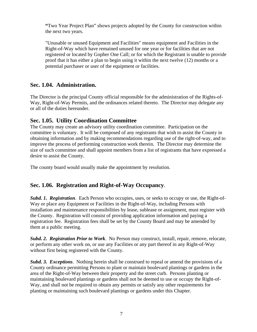**"**Two Year Project Plan" shows projects adopted by the County for construction within the next two years.

"Unusable or unused Equipment and Facilities" means equipment and Facilities in the Right-of-Way which have remained unused for one year or for facilities that are not registered or located by Gopher One Call; or for which the Registrant is unable to provide proof that it has either a plan to begin using it within the next twelve (12) months or a potential purchaser or user of the equipment or facilities.

#### **Sec. 1.04. Administration.**

The Director is the principal County official responsible for the administration of the Rights-of-Way, Right-of-Way Permits, and the ordinances related thereto. The Director may delegate any or all of the duties hereunder.

#### **Sec. 1.05. Utility Coordination Committee**

The County may create an advisory utility coordination committee. Participation on the committee is voluntary. It will be composed of any registrants that wish to assist the County in obtaining information and by making recommendations regarding use of the right-of-way, and to improve the process of performing construction work therein. The Director may determine the size of such committee and shall appoint members from a list of registrants that have expressed a desire to assist the County.

The county board would usually make the appointment by resolution*.* 

### **Sec. 1.06. Registration and Right-of-Way Occupancy**.

*Subd. 1. Registration*. Each Person who occupies, uses, or seeks to occupy or use, the Right-of-Way or place any Equipment or Facilities in the Right-of-Way, including Persons with installation and maintenance responsibilities by lease, sublease or assignment, must register with the County. Registration will consist of providing application information and paying a registration fee. Registration fees shall be set by the County Board and may be amended by them at a public meeting.

*Subd. 2. Registration Prior to Work*. No Person may construct, install, repair, remove, relocate, or perform any other work on, or use any Facilities or any part thereof in any Right-of-Way without first being registered with the County.

*Subd. 3. Exceptions*. Nothing herein shall be construed to repeal or amend the provisions of a County ordinance permitting Persons to plant or maintain boulevard plantings or gardens in the area of the Right-of-Way between their property and the street curb. Persons planting or maintaining boulevard plantings or gardens shall not be deemed to use or occupy the Right-of-Way, and shall not be required to obtain any permits or satisfy any other requirements for planting or maintaining such boulevard plantings or gardens under this Chapter.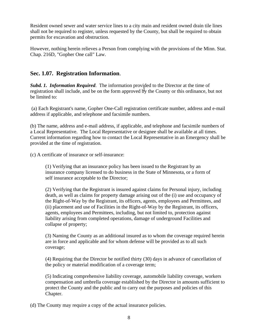Resident owned sewer and water service lines to a city main and resident owned drain tile lines shall not be required to register, unless requested by the County, but shall be required to obtain permits for excavation and obstruction.

However, nothing herein relieves a Person from complying with the provisions of the Minn. Stat. Chap. 216D, "Gopher One call" Law.

#### **Sec. 1.07. Registration Information**.

*Subd. 1. Information Required*. The information provided to the Director at the time of registration shall include, and be on the form approved by the County or this ordinance, but not engistration shall include, and be on the form approved by the County or this ordinance, but not be limited to:

 (a) Each Registrant's name, Gopher One-Call registration certificate number, address and e-mail address if applicable, and telephone and facsimile numbers.

(b) The name, address and e-mail address, if applicable, and telephone and facsimile numbers of a Local Representative. The Local Representative or designee shall be available at all times. Current information regarding how to contact the Local Representative in an Emergency shall be provided at the time of registration.

(c) A certificate of insurance or self-insurance:

(1) Verifying that an insurance policy has been issued to the Registrant by an insurance company licensed to do business in the State of Minnesota, or a form of self insurance acceptable to the Director;

(2) Verifying that the Registrant is insured against claims for Personal injury, including death, as well as claims for property damage arising out of the (i) use and occupancy of the Right-of-Way by the Registrant, its officers, agents, employees and Permittees, and (ii) placement and use of Facilities in the Right-of-Way by the Registrant, its officers, agents, employees and Permittees, including, but not limited to, protection against liability arising from completed operations, damage of underground Facilities and collapse of property;

(3) Naming the County as an additional insured as to whom the coverage required herein are in force and applicable and for whom defense will be provided as to all such coverage;

(4) Requiring that the Director be notified thirty (30) days in advance of cancellation of the policy or material modification of a coverage term;

(5) Indicating comprehensive liability coverage, automobile liability coverage, workers compensation and umbrella coverage established by the Director in amounts sufficient to protect the County and the public and to carry out the purposes and policies of this Chapter.

(d) The County may require a copy of the actual insurance policies.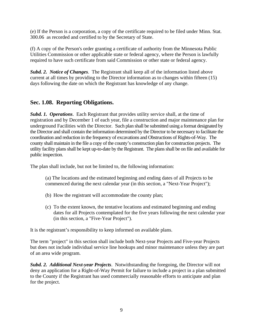(e) If the Person is a corporation, a copy of the certificate required to be filed under Minn. Stat. 300.06 as recorded and certified to by the Secretary of State.

(f) A copy of the Person's order granting a certificate of authority from the Minnesota Public Utilities Commission or other applicable state or federal agency, where the Person is lawfully required to have such certificate from said Commission or other state or federal agency.

*Subd. 2. Notice of Changes*. The Registrant shall keep all of the information listed above current at all times by providing to the Director information as to changes within fifteen (15) days following the date on which the Registrant has knowledge of any change.

#### **Sec. 1.08. Reporting Obligations.**

*Subd. 1. Operations*. Each Registrant that provides utility service shall, at the time of registration and by December 1 of each year, file a construction and major maintenance plan for underground Facilities with the Director. Such plan shall be submitted using a format designated by the Director and shall contain the information determined by the Director to be necessary to facilitate the coordination and reduction in the frequency of excavations and Obstructions of Rights-of-Way. The county shall maintain in the file a copy of the county's construction plan for construction projects. The utility facility plans shall be kept up-to-date by the Registrant. The plans shall be on file and available for public inspection.

The plan shall include, but not be limited to, the following information:

(a) The locations and the estimated beginning and ending dates of all Projects to be commenced during the next calendar year (in this section, a "Next-Year Project");

- (b) How the registrant will accommodate the county plan;
- (c) To the extent known, the tentative locations and estimated beginning and ending dates for all Projects contemplated for the five years following the next calendar year (in this section, a "Five-Year Project").

It is the registrant's responsibility to keep informed on available plans.

The term "project" in this section shall include both Next-year Projects and Five-year Projects but does not include individual service line hookups and minor maintenance unless they are part of an area wide program.

*Subd. 2. Additional Next-year Projects*. Notwithstanding the foregoing, the Director will not deny an application for a Right-of-Way Permit for failure to include a project in a plan submitted to the County if the Registrant has used commercially reasonable efforts to anticipate and plan for the project.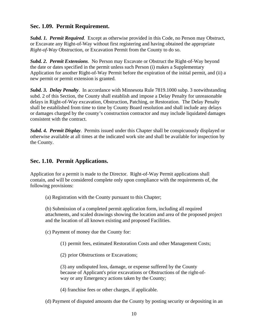#### **Sec. 1.09. Permit Requirement.**

*Subd. 1. Permit Required*. Except as otherwise provided in this Code, no Person may Obstruct, or Excavate any Right-of-Way without first registering and having obtained the appropriate *Right-of-Way* Obstruction, or Excavation Permit from the County to do so.

*Subd. 2. Permit Extensions*. No Person may Excavate or Obstruct the Right-of-Way beyond the date or dates specified in the permit unless such Person (i) makes a Supplementary Application for another Right-of-Way Permit before the expiration of the initial permit, and (ii) a new permit or permit extension is granted.

*Subd. 3. Delay Penalty*. In accordance with Minnesota Rule 7819.1000 subp. 3 notwithstanding subd. 2 of this Section, the County shall establish and impose a Delay Penalty for unreasonable delays in Right-of-Way excavation, Obstruction, Patching, or Restoration. The Delay Penalty shall be established from time to time by County Board resolution and shall include any delays or damages charged by the county's construction contractor and may include liquidated damages consistent with the contract.

**Subd. 4. Permit Display.** Permits issued under this Chapter shall be conspicuously displayed or otherwise available at all times at the indicated work site and shall be available for inspection by the County.

#### **Sec. 1.10. Permit Applications.**

Application for a permit is made to the Director. Right-of-Way Permit applications shall contain, and will be considered complete only upon compliance with the requirements of, the following provisions:

(a) Registration with the County pursuant to this Chapter;

(b) Submission of a completed permit application form, including all required attachments, and scaled drawings showing the location and area of the proposed project and the location of all known existing and proposed Facilities.

(c) Payment of money due the County for:

(1) permit fees, estimated Restoration Costs and other Management Costs;

(2) prior Obstructions or Excavations;

(3) any undisputed loss, damage, or expense suffered by the County because of Applicant's prior excavations or Obstructions of the right-ofway or any Emergency actions taken by the County;

(4) franchise fees or other charges, if applicable.

(d) Payment of disputed amounts due the County by posting security or depositing in an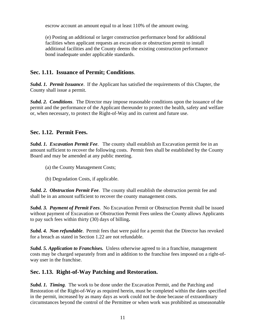escrow account an amount equal to at least 110% of the amount owing.

(e) Posting an additional or larger construction performance bond for additional facilities when applicant requests an excavation or obstruction permit to install additional facilities and the County deems the existing construction performance bond inadequate under applicable standards.

#### **Sec. 1.11. Issuance of Permit; Conditions**.

*Subd. 1. Permit Issuance*. If the Applicant has satisfied the requirements of this Chapter, the County shall issue a permit.

*Subd. 2. Conditions*. The Director may impose reasonable conditions upon the issuance of the permit and the performance of the Applicant thereunder to protect the health, safety and welfare or, when necessary, to protect the Right-of-Way and its current and future use.

#### **Sec. 1.12. Permit Fees.**

*Subd. 1. Excavation Permit Fee*. The county shall establish an Excavation permit fee in an amount sufficient to recover the following costs. Permit fees shall be established by the County Board and may be amended at any public meeting.

- (a) the County Management Costs;
- (b) Degradation Costs, if applicable.

*Subd. 2. Obstruction Permit Fee*. The county shall establish the obstruction permit fee and shall be in an amount sufficient to recover the county management costs.

*Subd. 3. Payment of Permit Fees*. No Excavation Permit or Obstruction Permit shall be issued without payment of Excavation or Obstruction Permit Fees unless the County allows Applicants to pay such fees within thirty (30) days of billing**.** 

*Subd. 4. Non refundable*. Permit fees that were paid for a permit that the Director has revoked for a breach as stated in Section 1.22 are not refundable.

*Subd. 5. Application to Franchises.* Unless otherwise agreed to in a franchise, management costs may be charged separately from and in addition to the franchise fees imposed on a right-ofway user in the franchise.

#### **Sec. 1.13. Right-of-Way Patching and Restoration.**

*Subd. 1. Timing*. The work to be done under the Excavation Permit, and the Patching and Restoration of the Right-of-Way as required herein, must be completed within the dates specified in the permit, increased by as many days as work could not be done because of extraordinary circumstances beyond the control of the Permittee or when work was prohibited as unseasonable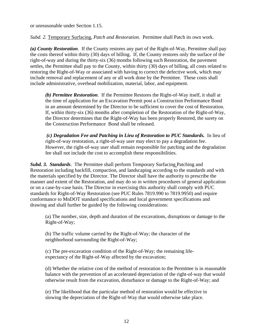or unreasonable under Section 1.15.

*Subd. 2.* Temporary Surfacing, *Patch and Restoration*. Permittee shall Patch its own work.

*(a) County Restoration*. If the County restores any part of the Right-of-Way, Permittee shall pay the costs thereof within thirty (30) days of billing. If, the County restores only the surface of the right-of-way and during the thirty-six (36) months following such Restoration, the pavement settles, the Permittee shall pay to the County, within thirty (30) days of billing, all costs related to restoring the Right-of-Way or associated with having to correct the defective work, which may include removal and replacement of any or all work done by the Permittee. These costs shall include administrative, overhead mobilization, material, labor, and equipment.

*(b) Permittee Restoration*. If the Permittee Restores the Right-of-Way itself, it shall at the time of application for an Excavation Permit post a Construction Performance Bond in an amount determined by the Director to be sufficient to cover the cost of Restoration. If, within thirty-six (36) months after completion of the Restoration of the Right-of-Way, the Director determines that the Right-of-Way has been properly Restored, the surety on the Construction Performance Bond shall be released.

*(c) Degradation Fee and Patching in Lieu of Restoration to PUC Standards.* In lieu of right-of-way restoration, a right-of-way user may elect to pay a degradation fee. However, the right-of-way user shall remain responsible for patching and the degradation fee shall not include the cost to accomplish these responsibilities.

*Subd. 3. Standards*. The Permittee shall perform Temporary Surfacing Patching and Restoration including backfill, compaction, and landscaping according to the standards and with the materials specified by the Director. The Director shall have the authority to prescribe the manner and extent of the Restoration, and may do so in written procedures of general application or on a case-by-case basis. The Director in exercising this authority shall comply with PUC standards for Right-of-Way Restoration (see PUC Rules 7819.990 to 7819.9950) and require conformance to MnDOT standard specifications and local government specifications and drawing and shall further be guided by the following considerations:

(a) The number, size, depth and duration of the excavations, disruptions or damage to the Right-of-Way;

(b) The traffic volume carried by the Right-of-Way; the character of the neighborhood surrounding the Right-of-Way;

(c) The pre-excavation condition of the Right-of-Way; the remaining lifeexpectancy of the Right-of-Way affected by the excavation;

(d) Whether the relative cost of the method of restoration to the Permittee is in reasonable balance with the prevention of an accelerated depreciation of the right-of-way that would otherwise result from the excavation, disturbance or damage to the Right-of-Way; and

(e) The likelihood that the particular method of restoration would be effective in slowing the depreciation of the Right-of-Way that would otherwise take place.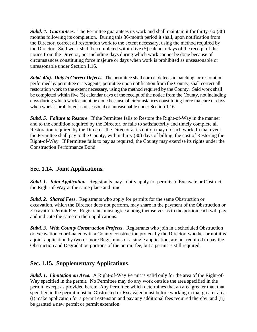*Subd. 4. Guarantees.* The Permittee guarantees its work and shall maintain it for thirty-six (36) months following its completion. During this 36-month period it shall, upon notification from the Director, correct all restoration work to the extent necessary, using the method required by the Director. Said work shall be completed within five (5) calendar days of the receipt of the notice from the Director, not including days during which work cannot be done because of circumstances constituting force majeure or days when work is prohibited as unseasonable or unreasonable under Section 1.16.

*Subd. 4(a). Duty to Correct Defects.* The permittee shall correct defects in patching, or restoration performed by permittee or its agents, permittee upon notification from the County, shall correct all restoration work to the extent necessary, using the method required by the County. Said work shall be completed within five (5) calendar days of the receipt of the notice from the County, not including days during which work cannot be done because of circumstances constituting force majeure or days when work is prohibited as unseasonal or unreasonable under Section 1.16.

*Subd. 5. Failure to Restore*. If the Permittee fails to Restore the Right-of-Way in the manner and to the condition required by the Director, or fails to satisfactorily and timely complete all Restoration required by the Director, the Director at its option may do such work. In that event the Permittee shall pay to the County, within thirty (30) days of billing, the cost of Restoring the Right-of-Way. If Permittee fails to pay as required, the County may exercise its rights under the Construction Performance Bond.

#### **Sec. 1.14. Joint Applications.**

*Subd. 1. Joint Application*. Registrants may jointly apply for permits to Excavate or Obstruct the Right-of-Way at the same place and time.

*Subd. 2. Shared Fees*. Registrants who apply for permits for the same Obstruction or excavation, which the Director does not perform, may share in the payment of the Obstruction or Excavation Permit Fee. Registrants must agree among themselves as to the portion each will pay and indicate the same on their applications.

*Subd. 3. With County Construction Projects*. Registrants who join in a scheduled Obstruction or excavation coordinated with a County construction project by the Director, whether or not it is a joint application by two or more Registrants or a single application, are not required to pay the Obstruction and Degradation portions of the permit fee, but a permit is still required.

#### **Sec. 1.15. Supplementary Applications**.

*Subd. 1. Limitation on Area.* A Right-of-Way Permit is valid only for the area of the Right-of-Way specified in the permit. No Permittee may do any work outside the area specified in the permit, except as provided herein. Any Permittee which determines that an area greater than that specified in the permit must be Obstructed or Excavated must before working in that greater area (I) make application for a permit extension and pay any additional fees required thereby, and (ii) be granted a new permit or permit extension.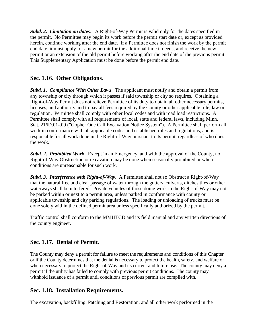*Subd. 2. Limitation on dates*. A Right-of-Way Permit is valid only for the dates specified in the permit. No Permittee may begin its work before the permit start date or, except as provided herein, continue working after the end date. If a Permittee does not finish the work by the permit end date, it must apply for a new permit for the additional time it needs, and receive the new permit or an extension of the old permit before working after the end date of the previous permit. This Supplementary Application must be done before the permit end date.

#### **Sec. 1.16. Other Obligations**.

*Subd. 1. Compliance With Other Laws*. The applicant must notify and obtain a permit from any township or city through which it passes if said township or city so requires. Obtaining a Right-of-Way Permit does not relieve Permittee of its duty to obtain all other necessary permits, licenses, and authority and to pay all fees required by the County or other applicable rule, law or regulation. Permittee shall comply with other local codes and with road load restrictions. A Permittee shall comply with all requirements of local, state and federal laws, including Minn. Stat. 216D.01-.09 ("Gopher One Call Excavation Notice System"). A Permittee shall perform all work in conformance with all applicable codes and established rules and regulations, and is responsible for all work done in the Right-of-Way pursuant to its permit, regardless of who does the work.

*Subd. 2. Prohibited Work*. Except in an Emergency, and with the approval of the County, no Right-of-Way Obstruction or excavation may be done when seasonally prohibited or when conditions are unreasonable for such work.

*Subd. 3. Interference with Right-of-Way*. A Permittee shall not so Obstruct a Right-of-Way that the natural free and clear passage of water through the gutters, culverts, ditches tiles or other waterways shall be interfered. Private vehicles of those doing work in the Right-of-Way may not be parked within or next to a permit area, unless parked in conformance with county or applicable township and city parking regulations. The loading or unloading of trucks must be done solely within the defined permit area unless specifically authorized by the permit.

Traffic control shall conform to the MMUTCD and its field manual and any written directions of the county engineer.

#### **Sec. 1.17. Denial of Permit.**

The County may deny a permit for failure to meet the requirements and conditions of this Chapter or if the County determines that the denial is necessary to protect the health, safety, and welfare or when necessary to protect the Right-of-Way and its current and future use*.* The county may deny a permit if the utility has failed to comply with previous permit conditions. The county may withhold issuance of a permit until conditions of previous permit are complied with.

#### **Sec. 1.18. Installation Requirements.**

The excavation, backfilling, Patching and Restoration, and all other work performed in the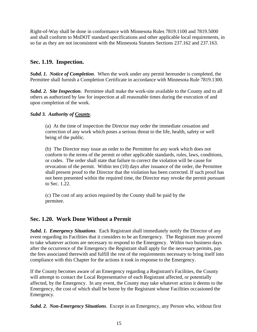Right-of-Way shall be done in conformance with Minnesota Rules 7819.1100 and 7819.5000 and shall conform to MnDOT standard specifications and other applicable local requirements, in so far as they are not inconsistent with the Minnesota Statutes Sections 237.162 and 237.163.

#### **Sec. 1.19. Inspection.**

*Subd. 1. Notice of Completion*. When the work under any permit hereunder is completed, the Permittee shall furnish a Completion Certificate in accordance with Minnesota Rule 7819.1300.

*Subd. 2. Site Inspection*. Permittee shall make the work-site available to the County and to all others as authorized by law for inspection at all reasonable times during the execution of and upon completion of the work.

#### *Subd 3. Authority of County*.

(a) At the time of inspection the Director may order the immediate cessation and correction of any work which poses a serious threat to the life, health, safety or well being of the public.

(b) The Director may issue an order to the Permittee for any work which does not conform to the terms of the permit or other applicable standards, rules, laws, conditions, or codes. The order shall state that failure to correct the violation will be cause for revocation of the permit. Within ten (10) days after issuance of the order, the Permittee shall present proof to the Director that the violation has been corrected. If such proof has not been presented within the required time, the Director may revoke the permit pursuant to Sec. 1.22.

(c) The cost of any action required by the County shall be paid by the permitee.

#### **Sec. 1.20. Work Done Without a Permit**

*Subd. 1. Emergency Situations*. Each Registrant shall immediately notify the Director of any event regarding its Facilities that it considers to be an Emergency. The Registrant may proceed to take whatever actions are necessary to respond to the Emergency. Within two business days after the occurrence of the Emergency the Registrant shall apply for the necessary permits, pay the fees associated therewith and fulfill the rest of the requirements necessary to bring itself into compliance with this Chapter for the actions it took in response to the Emergency.

If the County becomes aware of an Emergency regarding a Registrant's Facilities, the County will attempt to contact the Local Representative of each Registrant affected, or potentially affected, by the Emergency. In any event, the County may take whatever action it deems to the Emergency, the cost of which shall be borne by the Registrant whose Facilities occasioned the Emergency.

*Subd. 2. Non-Emergency Situations*. Except in an Emergency, any Person who, without first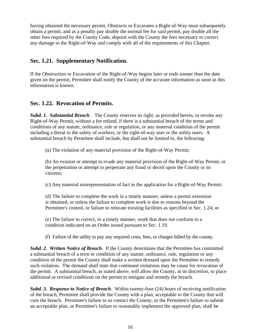having obtained the necessary permit, Obstructs or Excavates a Right-of-Way must subsequently obtain a permit, and as a penalty pay double the normal fee for said permit, pay double all the other fees required by the County Code, deposit with the County the fees necessary to correct any damage to the Right-of-Way and comply with all of the requirements of this Chapter.

#### **Sec. 1.21. Supplementary Notification.**

If the Obstruction or Excavation of the Right-of-Way begins later or ends sooner than the date given on the permit, Permittee shall notify the County of the accurate information as soon as this information is known.

#### **Sec. 1.22. Revocation of Permits.**

*Subd. 1. Substantial Breach*. The County reserves its right, as provided herein, to revoke any Right-of-Way Permit, without a fee refund, if there is a substantial breach of the terms and conditions of any statute, ordinance, rule or regulation, or any material condition of the permit including a threat to the safety of workers, or the right-of-way user or the utility users. A substantial breach by Permittee shall include, but shall not be limited to, the following:

(a) The violation of any material provision of the Right-of-Way Permit;

(b) An evasion or attempt to evade any material provision of the Right-of-Way Permit, or the perpetration or attempt to perpetrate any fraud or deceit upon the County or its citizens;

(c) Any material misrepresentation of fact in the application for a Right-of-Way Permit;

(d) The failure to complete the work in a timely manner; unless a permit extension is obtained, or unless the failure to complete work is due to reasons beyond the Permittee's control, or failure to relocate existing facilities as specified in Sec. 1.24; or

(e) The failure to correct, in a timely manner, work that does not conform to a condition indicated on an Order issued pursuant to Sec. 1.19.

(f) Failure of the utility to pay any required costs, fees, or charges billed by the county.

*Subd. 2. Written Notice of Breach*. If the County determines that the Permittee has committed a substantial breach of a term or condition of any statute, ordinance, rule, regulation or any condition of the permit the County shall make a written demand upon the Permittee to remedy such violation. The demand shall state that continued violations may be cause for revocation of the permit. A substantial breach, as stated above, will allow the County, at its discretion, to place additional or revised conditions on the permit to mitigate and remedy the breach.

*Subd. 3. Response to Notice of Breach*. Within twenty-four (24) hours of receiving notification of the breach, Permittee shall provide the County with a plan, acceptable to the County that will cure the breach. Permittee's failure to so contact the County, or the Permittee's failure to submit an acceptable plan, or Permittee's failure to reasonably implement the approved plan, shall be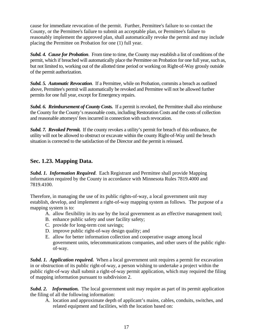cause for immediate revocation of the permit. Further, Permittee's failure to so contact the County, or the Permittee's failure to submit an acceptable plan, or Permittee's failure to reasonably implement the approved plan, shall automatically revoke the permit and may include placing the Permittee on Probation for one (1) full year.

*Subd. 4. Cause for Probation*. From time to time, the County may establish a list of conditions of the permit, which if breached will automatically place the Permittee on Probation for one full year, such as, but not limited to, working out of the allotted time period or working on Right-of-Way grossly outside of the permit authorization.

*Subd. 5. Automatic Revocation*. If a Permittee, while on Probation, commits a breach as outlined above, Permittee's permit will automatically be revoked and Permittee will not be allowed further permits for one full year, except for Emergency repairs.

*Subd. 6. Reimbursement of County Costs.* If a permit is revoked, the Permittee shall also reimburse the County for the County's reasonable costs, including Restoration Costs and the costs of collection and reasonable attorneys' fees incurred in connection with such revocation.

*Subd. 7. Revoked Permit.*If the county revokes a utility's permit for breach of this ordinance, the utility will not be allowed to obstruct or excavate within the county Right-of-Way until the breach situation is corrected to the satisfaction of the Director and the permit is reissued.

#### **Sec. 1.23. Mapping Data.**

*Subd. 1. Information Required*. Each Registrant and Permittee shall provide Mapping information required by the County in accordance with Minnesota Rules 7819.4000 and 7819.4100.

Therefore, in managing the use of its public rights-of-way, a local government unit may establish, develop, and implement a right-of-way mapping system as follows. The purpose of a mapping system is to:

- A. allow flexibility in its use by the local government as an effective management tool;
- B. enhance public safety and user facility safety;
- C. provide for long-term cost savings;
- D. improve public right-of-way design quality; and
- E. allow for better information collection and cooperative usage among local government units, telecommunications companies, and other users of the public rightof-way.

*Subd. 1. Application required.* When a local government unit requires a permit for excavation in or obstruction of its public right-of-way, a person wishing to undertake a project within the public right-of-way shall submit a right-of-way permit application, which may required the filing of mapping information pursuant to subdivision 2.

*Subd. 2. Information.* The local government unit may require as part of its permit application the filing of all the following information:

A. location and approximate depth of applicant's mains, cables, conduits, switches, and related equipment and facilities, with the location based on: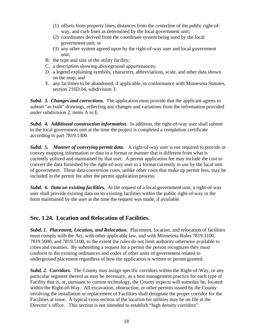- (1) offsets from property lines, distances from the centerline of the public right-ofway, and curb lines as determined by the local government unit;
- (2) coordinates derived from the coordinate system being used by the local government unit; or
- (3) any other system agreed upon by the right-of-way user and local government unit;
- B. the type and size of the utility facility;
- C. a description showing aboveground appurtenances;
- D. a legend explaining symbols, characters, abbreviations, scale, and other data shown on the map, and
- E. any facilities to be abandoned, if applicable, in conformance with Minnesota Statutes, section 216D.04, subdivision 3.

**Subd. 3. Changes and corrections.** The application must provide that the applicant agrees to submit "as built" drawings, reflecting any changes and variations from the information provided under subdivision 2, items A to E.

*Subd. 4. Additional construction information.* In addition, the right-of-way user shall submit to the local government unit at the time the project is completed a completion certificate according to part 7819.1300.

*Subd. 5. Manner of conveying permit data.* A right-of-way user is not required to provide or convey mapping information or data in a format or manner that is different from what is currently utilized and maintained by that user. A permit application fee may include the cost to convert the data furnished by the right-of-way user to a format currently in use by the local unit of government. These data conversion costs, unlike other costs that make up permit fees, may be included in the permit fee after the permit application process.

**Subd. 6. Data on existing facilities.** At the request of a local government unit, a right-of-way user shall provide existing data on its existing facilities within the public right-of-way in the form maintained by the user at the time the request was made, if available.

#### **Sec. 1.24. Location and Relocation of Facilities.**

*Subd. 1. Placement, Location, and Relocation.* Placement, location, and relocation of facilities must comply with the Act, with other applicable law, and with Minnesota Rules 7819.3100, 7819.5000, and 7819.5100, to the extent the rules do not limit authority otherwise available to cities and counties. By submitting a request for a permit the person recognizes they must conform to the existing ordinances and codes of other units of government related to underground placement regardless of how the application is written or permit granted.

*Subd. 2. Corridors.* The County may assign specific corridors within the Right-of-Way, or any particular segment thereof as may be necessary, as a best management practice for each type of Facility that is, or, pursuant to current technology, the County expects will someday be, located within the Right-of-Way. All excavation, obstruction, or other permits issued by the County involving the installation or replacement of Facilities shall designate the proper corridor for the Facilities at issue. A typical cross section of the location for utilities may be on file at the Director's office. This section is not intended to establish "high density corridors".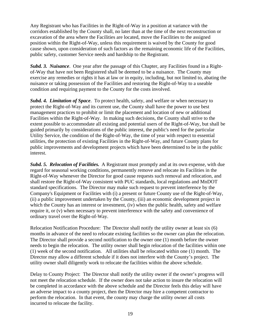Any Registrant who has Facilities in the Right-of-Way in a position at variance with the corridors established by the County shall, no later than at the time of the next reconstruction or excavation of the area where the Facilities are located, move the Facilities to the assigned position within the Right-of-Way, unless this requirement is waived by the County for good cause shown, upon consideration of such factors as the remaining economic life of the Facilities, public safety, customer Service needs and hardship to the Registrant.

*Subd. 3. Nuisance*. One year after the passage of this Chapter, any Facilities found in a Rightof-Way that have not been Registered shall be deemed to be a nuisance. The County may exercise any remedies or rights it has at law or in equity, including, but not limited to, abating the nuisance or taking possession of the Facilities and restoring the Right-of-Way to a useable condition and requiring payment to the County for the costs involved.

*Subd. 4. Limitation of Space*. To protect health, safety, and welfare or when necessary to protect the Right-of-Way and its current use, the County shall have the power to use best management practices to prohibit or limit the placement and location of new or additional Facilities within the Right-of-Way. In making such decisions, the County shall strive to the extent possible to accommodate all existing and potential users of the Right-of-Way, but shall be guided primarily by considerations of the public interest, the public's need for the particular Utility Service, the condition of the Right-of-Way, the time of year with respect to essential utilities, the protection of existing Facilities in the Right-of-Way, and future County plans for public improvements and development projects which have been determined to be in the public interest.

*Subd. 5. Relocation of Facilities.*A Registrant must promptly and at its own expense, with due regard for seasonal working conditions, permanently remove and relocate its Facilities in the Right-of-Way whenever the Director for good cause requests such removal and relocation, and shall restore the Right-of-Way consistent with PUC standards, local regulations and MnDOT standard specifications. The Director may make such request to prevent interference by the Company's Equipment or Facilities with (i) a present or future County use of the Right-of-Way, (ii) a public improvement undertaken by the County, (iii) an economic development project in which the County has an interest or investment, (iv) when the public health, safety and welfare require it, or (v) when necessary to prevent interference with the safety and convenience of ordinary travel over the Right-of-Way.

Relocation Notification Procedure: The Director shall notify the utility owner at least six (6) months in advance of the need to relocate existing facilities so the owner can plan the relocation. The Director shall provide a second notification to the owner one (1) month before the owner needs to begin the relocation. The utility owner shall begin relocation of the facilities within one (1) week of the second notification. All utilities shall be relocated within one (1) month. The Director may allow a different schedule if it does not interfere with the County's project. The utility owner shall diligently work to relocate the facilities within the above schedule.

Delay to County Project: The Director shall notify the utility owner if the owner's progress will not meet the relocation schedule. If the owner does not take action to insure the relocation will be completed in accordance with the above schedule and the Director feels this delay will have an adverse impact to a county project, then the Director may hire a competent contractor to perform the relocation. In that event, the county may charge the utility owner all costs incurred to relocate the facility.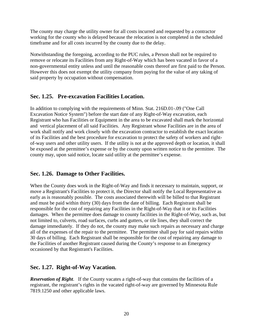The county may charge the utility owner for all costs incurred and requested by a contractor working for the county who is delayed because the relocation is not completed in the scheduled timeframe and for all costs incurred by the county due to the delay.

Notwithstanding the foregoing, according to the PUC rules, a Person shall not be required to remove or relocate its Facilities from any Right-of-Way which has been vacated in favor of a non-governmental entity unless and until the reasonable costs thereof are first paid to the Person. However this does not exempt the utility company from paying for the value of any taking of said property by occupation without compensation.

#### **Sec. 1.25. Pre-excavation Facilities Location.**

In addition to complying with the requirements of Minn. Stat. 216D.01-.09 ("One Call Excavation Notice System") before the start date of any Right-of-Way excavation, each Registrant who has Facilities or Equipment in the area to be excavated shall mark the horizontal and vertical placement of all said Facilities. Any Registrant whose Facilities are in the area of work shall notify and work closely with the excavation contractor to establish the exact location of its Facilities and the best procedure for excavation to protect the safety of workers and rightof-way users and other utility users. If the utility is not at the approved depth or location, it shall be exposed at the permittee's expense or by the county upon written notice to the permittee. The county may, upon said notice, locate said utility at the permittee's expense.

#### **Sec. 1.26. Damage to Other Facilities.**

When the County does work in the Right-of-Way and finds it necessary to maintain, support, or move a Registrant's Facilities to protect it, the Director shall notify the Local Representative as early as is reasonably possible. The costs associated therewith will be billed to that Registrant and must be paid within thirty (30) days from the date of billing. Each Registrant shall be responsible for the cost of repairing any Facilities in the Right-of-Way that it or its Facilities damages. When the permittee does damage to county facilities in the Right-of-Way, such as, but not limited to, culverts, road surfaces, curbs and gutters, or tile lines, they shall correct the damage immediately. If they do not, the county may make such repairs as necessary and charge all of the expenses of the repair to the permittee. The permittee shall pay for said repairs within 30 days of billing.Each Registrant shall be responsible for the cost of repairing any damage to the Facilities of another Registrant caused during the County's response to an Emergency occasioned by that Registrant's Facilities.

#### **Sec. 1.27. Right-of-Way Vacation.**

*Reservation of Right*. If the County vacates a right-of-way that contains the facilities of a registrant, the registrant's rights in the vacated right-of-way are governed by Minnesota Rule 7819.1250 and other applicable laws.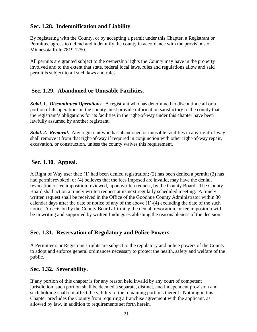#### **Sec. 1.28. Indemnification and Liability.**

By registering with the County, or by accepting a permit under this Chapter, a Registrant or Permittee agrees to defend and indemnify the county in accordance with the provisions of Minnesota Rule 7819.1250.

All permits are granted subject to the ownership rights the County may have in the property involved and to the extent that state, federal local laws, rules and regulations allow and said permit is subject to all such laws and rules.

#### **Sec. 1.29. Abandoned or Unusable Facilities.**

*Subd. 1. Discontinued Operations*. A registrant who has determined to discontinue all or a portion of its operations in the county must provide information satisfactory to the county that the registrant's obligations for its facilities in the right-of-way under this chapter have been lawfully assumed by another registrant.

**Subd. 2. Removal.** Any registrant who has abandoned or unusable facilities in any right-of-way shall remove it from that right-of-way if required in conjunction with other right-of-way repair, excavation, or construction, unless the county waives this requirement.

#### **Sec. 1.30. Appeal.**

A Right of Way user that: (1) had been denied registration; (2) has been denied a permit; (3) has had permit revoked; or (4) believes that the fees imposed are invalid, may have the denial, revocation or fee imposition reviewed, upon written request, by the County Board. The County Board shall act on a timely written request at its next regularly scheduled meeting. A timely written request shall be received in the Office of the Goodhue County Administrator within 30 calendar days after the date of notice of any of the above (1)-(4) excluding the date of the such notice. A decision by the County Board affirming the denial, revocation, or fee imposition will be in writing and supported by written findings establishing the reasonableness of the decision.

#### **Sec. 1.31. Reservation of Regulatory and Police Powers.**

A Permittee's or Registrant's rights are subject to the regulatory and police powers of the County to adopt and enforce general ordinances necessary to protect the health, safety and welfare of the public.

#### **Sec. 1.32. Severability.**

If any portion of this chapter is for any reason held invalid by any court of competent jurisdiction, such portion shall be deemed a separate, distinct, and independent provision and such holding shall not affect the validity of the remaining portions thereof. Nothing in this Chapter precludes the County from requiring a franchise agreement with the applicant, as allowed by law, in addition to requirements set forth herein.